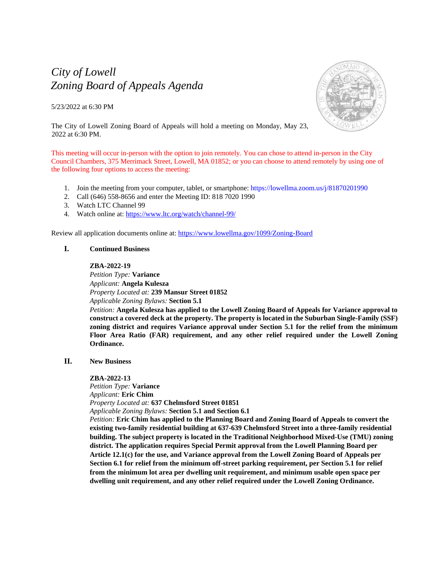# *City of Lowell Zoning Board of Appeals Agenda*

5/23/2022 at 6:30 PM



The City of Lowell Zoning Board of Appeals will hold a meeting on Monday, May 23, 2022 at 6:30 PM.

This meeting will occur in-person with the option to join remotely. You can chose to attend in-person in the City Council Chambers, 375 Merrimack Street, Lowell, MA 01852; or you can choose to attend remotely by using one of the following four options to access the meeting:

- 1. Join the meeting from your computer, tablet, or smartphone:<https://lowellma.zoom.us/j/81870201990>
- 2. Call (646) 558-8656 and enter the Meeting ID: 818 7020 1990
- 3. Watch LTC Channel 99
- 4. Watch online at[: https://www.ltc.org/watch/channel-99/](https://www.ltc.org/watch/channel-99/)

Review all application documents online at:<https://www.lowellma.gov/1099/Zoning-Board>

# **I. Continued Business**

## **ZBA-2022-19**

*Petition Type:* **Variance** *Applicant:* **Angela Kulesza** *Property Located at:* **239 Mansur Street 01852** *Applicable Zoning Bylaws:* **Section 5.1** 

*Petition:* **Angela Kulesza has applied to the Lowell Zoning Board of Appeals for Variance approval to construct a covered deck at the property. The property is located in the Suburban Single-Family (SSF) zoning district and requires Variance approval under Section 5.1 for the relief from the minimum Floor Area Ratio (FAR) requirement, and any other relief required under the Lowell Zoning Ordinance.**

# **II. New Business**

# **ZBA-2022-13**

*Petition Type:* **Variance** *Applicant:* **Eric Chim** *Property Located at:* **637 Chelmsford Street 01851**

*Applicable Zoning Bylaws:* **Section 5.1 and Section 6.1**

*Petition:* **Eric Chim has applied to the Planning Board and Zoning Board of Appeals to convert the existing two-family residential building at 637-639 Chelmsford Street into a three-family residential building. The subject property is located in the Traditional Neighborhood Mixed-Use (TMU) zoning district. The application requires Special Permit approval from the Lowell Planning Board per Article 12.1(c) for the use, and Variance approval from the Lowell Zoning Board of Appeals per Section 6.1 for relief from the minimum off-street parking requirement, per Section 5.1 for relief from the minimum lot area per dwelling unit requirement, and minimum usable open space per dwelling unit requirement, and any other relief required under the Lowell Zoning Ordinance.**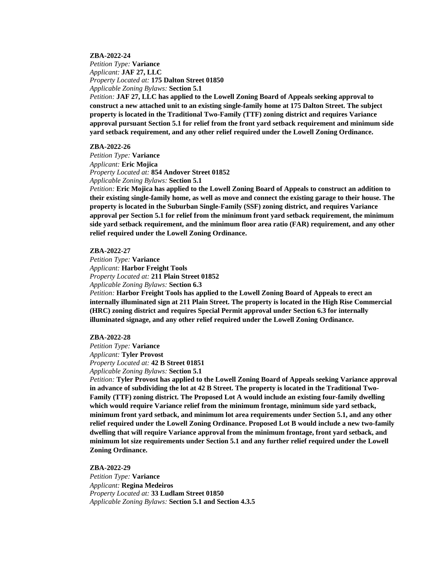## **ZBA-2022-24**

*Petition Type:* **Variance** *Applicant:* **JAF 27, LLC** *Property Located at:* **175 Dalton Street 01850** *Applicable Zoning Bylaws:* **Section 5.1**

*Petition:* **JAF 27, LLC has applied to the Lowell Zoning Board of Appeals seeking approval to construct a new attached unit to an existing single-family home at 175 Dalton Street. The subject property is located in the Traditional Two-Family (TTF) zoning district and requires Variance approval pursuant Section 5.1 for relief from the front yard setback requirement and minimum side yard setback requirement, and any other relief required under the Lowell Zoning Ordinance.**

#### **ZBA-2022-26**

*Petition Type:* **Variance** *Applicant:* **Eric Mojica** *Property Located at:* **854 Andover Street 01852** *Applicable Zoning Bylaws:* **Section 5.1** 

*Petition:* **Eric Mojica has applied to the Lowell Zoning Board of Appeals to construct an addition to their existing single-family home, as well as move and connect the existing garage to their house. The property is located in the Suburban Single-Family (SSF) zoning district, and requires Variance approval per Section 5.1 for relief from the minimum front yard setback requirement, the minimum side yard setback requirement, and the minimum floor area ratio (FAR) requirement, and any other relief required under the Lowell Zoning Ordinance.**

## **ZBA-2022-27**

*Petition Type:* **Variance** *Applicant:* **Harbor Freight Tools** *Property Located at:* **211 Plain Street 01852** *Applicable Zoning Bylaws:* **Section 6.3**

*Petition:* **Harbor Freight Tools has applied to the Lowell Zoning Board of Appeals to erect an internally illuminated sign at 211 Plain Street. The property is located in the High Rise Commercial (HRC) zoning district and requires Special Permit approval under Section 6.3 for internally illuminated signage, and any other relief required under the Lowell Zoning Ordinance.**

#### **ZBA-2022-28**

*Petition Type:* **Variance** *Applicant:* **Tyler Provost** *Property Located at:* **42 B Street 01851** *Applicable Zoning Bylaws:* **Section 5.1** 

*Petition:* **Tyler Provost has applied to the Lowell Zoning Board of Appeals seeking Variance approval in advance of subdividing the lot at 42 B Street. The property is located in the Traditional Two-Family (TTF) zoning district. The Proposed Lot A would include an existing four-family dwelling which would require Variance relief from the minimum frontage, minimum side yard setback, minimum front yard setback, and minimum lot area requirements under Section 5.1, and any other relief required under the Lowell Zoning Ordinance. Proposed Lot B would include a new two-family dwelling that will require Variance approval from the minimum frontage, front yard setback, and minimum lot size requirements under Section 5.1 and any further relief required under the Lowell Zoning Ordinance.**

**ZBA-2022-29**

*Petition Type:* **Variance** *Applicant:* **Regina Medeiros** *Property Located at:* **33 Ludlam Street 01850** *Applicable Zoning Bylaws:* **Section 5.1 and Section 4.3.5**